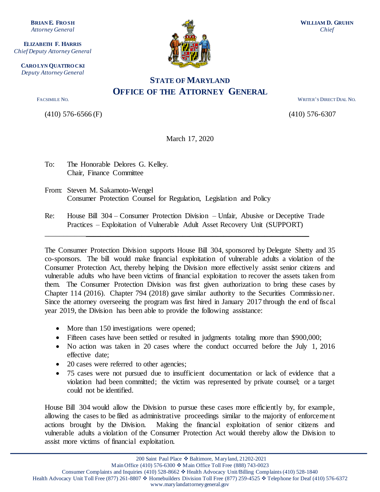**BRIAN E. FRO SH** *Attorney General*

**ELIZABETH F. HARRIS** *Chief Deputy Attorney General*

**CARO LYN QUATTRO CKI** *Deputy Attorney General*

(410) 576-6566 (F) (410) 576-6307



## **STATE OF MARYLAND OFFICE OF THE ATTORNEY GENERAL**

FACSIMILE NO. WRITER'S DIRECT DIAL NO.

March 17, 2020

- To: The Honorable Delores G. Kelley. Chair, Finance Committee
- From: Steven M. Sakamoto-Wengel Consumer Protection Counsel for Regulation, Legislation and Policy
- Re: House Bill 304 Consumer Protection Division Unfair, Abusive or Deceptive Trade Practices – Exploitation of Vulnerable Adult Asset Recovery Unit (SUPPORT)

\_\_\_\_\_\_\_\_\_\_\_\_\_\_\_\_\_\_\_\_\_\_\_\_\_\_\_\_\_\_\_\_\_\_\_\_\_\_\_\_\_\_\_\_\_\_\_\_\_\_\_\_\_\_\_\_\_\_\_\_\_\_\_\_\_\_\_\_\_\_\_

The Consumer Protection Division supports House Bill 304, sponsored by Delegate Shetty and 35 co-sponsors. The bill would make financial exploitation of vulnerable adults a violation of the Consumer Protection Act, thereby helping the Division more effectively assist senior citizens and vulnerable adults who have been victims of financial exploitation to recover the assets taken from them. The Consumer Protection Division was first given authorization to bring these cases by Chapter 114 (2016). Chapter 794 (2018) gave similar authority to the Securities Commissioner. Since the attorney overseeing the program was first hired in January 2017 through the end of fiscal year 2019, the Division has been able to provide the following assistance:

- More than 150 investigations were opened;
- Fifteen cases have been settled or resulted in judgments totaling more than \$900,000;
- No action was taken in 20 cases where the conduct occurred before the July 1, 2016 effective date;
- 20 cases were referred to other agencies;
- 75 cases were not pursued due to insufficient documentation or lack of evidence that a violation had been committed; the victim was represented by private counsel; or a target could not be identified.

House Bill 304 would allow the Division to pursue these cases more efficiently by, for example, allowing the cases to be filed as administrative proceedings similar to the majority of enforcement actions brought by the Division. Making the financial exploitation of senior citizens and vulnerable adults a violation of the Consumer Protection Act would thereby allow the Division to assist more victims of financial exploitation.